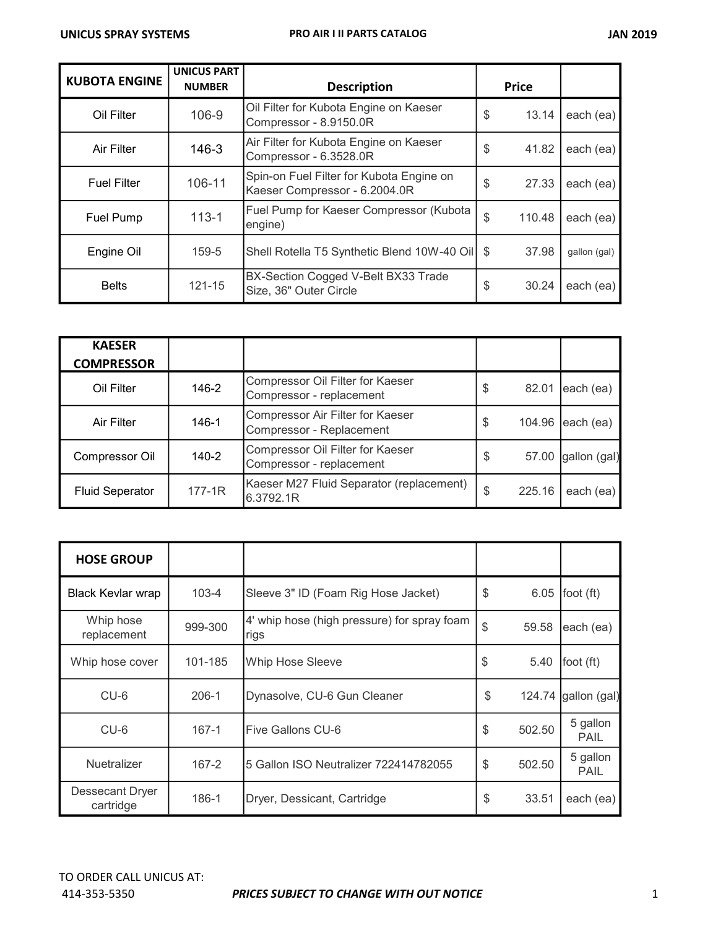| <b>KUBOTA ENGINE</b> | <b>UNICUS PART</b><br><b>NUMBER</b> | <b>Description</b>                                                        | <b>Price</b> |              |
|----------------------|-------------------------------------|---------------------------------------------------------------------------|--------------|--------------|
| Oil Filter           | 106-9                               | Oil Filter for Kubota Engine on Kaeser<br>Compressor - 8.9150.0R          | \$<br>13.14  | each (ea)    |
| Air Filter           | 146-3                               | Air Filter for Kubota Engine on Kaeser<br>Compressor - 6.3528.0R          | \$<br>41.82  | each (ea)    |
| <b>Fuel Filter</b>   | 106-11                              | Spin-on Fuel Filter for Kubota Engine on<br>Kaeser Compressor - 6.2004.0R | \$<br>27.33  | each (ea)    |
| Fuel Pump            | $113 - 1$                           | Fuel Pump for Kaeser Compressor (Kubota<br>engine)                        | \$<br>110.48 | each (ea)    |
| Engine Oil           | 159-5                               | Shell Rotella T5 Synthetic Blend 10W-40 Oil   \$                          | 37.98        | gallon (gal) |
| <b>Belts</b>         | 121-15                              | BX-Section Cogged V-Belt BX33 Trade<br>Size, 36" Outer Circle             | \$<br>30.24  | each (ea)    |

| <b>KAESER</b><br><b>COMPRESSOR</b> |            |                                                              |    |        |              |
|------------------------------------|------------|--------------------------------------------------------------|----|--------|--------------|
| Oil Filter                         | 146-2      | Compressor Oil Filter for Kaeser<br>Compressor - replacement | S  | 82.01  | each (ea)    |
| Air Filter                         | 146-1      | Compressor Air Filter for Kaeser<br>Compressor - Replacement | S  | 104.96 | each (ea)    |
| Compressor Oil                     | 140-2      | Compressor Oil Filter for Kaeser<br>Compressor - replacement | \$ | 57.00  | gallon (gal) |
| <b>Fluid Seperator</b>             | $177 - 1R$ | Kaeser M27 Fluid Separator (replacement)<br>6.3792.1R        | \$ | 225.16 | each (ea)    |

| <b>HOSE GROUP</b>            |           |                                                     |              |                         |
|------------------------------|-----------|-----------------------------------------------------|--------------|-------------------------|
| <b>Black Kevlar wrap</b>     | $103 - 4$ | Sleeve 3" ID (Foam Rig Hose Jacket)                 | \$<br>6.05   | foot (ft)               |
| Whip hose<br>replacement     | 999-300   | 4' whip hose (high pressure) for spray foam<br>rigs | \$<br>59.58  | each (ea)               |
| Whip hose cover              | 101-185   | <b>Whip Hose Sleeve</b>                             | \$<br>5.40   | foot $(ft)$             |
| CU-6                         | $206 - 1$ | Dynasolve, CU-6 Gun Cleaner                         | \$           | 124.74 gallon (gal)     |
| $CU-6$                       | $167 - 1$ | Five Gallons CU-6                                   | \$<br>502.50 | 5 gallon<br><b>PAIL</b> |
| <b>Nuetralizer</b>           | 167-2     | 5 Gallon ISO Neutralizer 722414782055               | \$<br>502.50 | 5 gallon<br><b>PAIL</b> |
| Dessecant Dryer<br>cartridge | 186-1     | Dryer, Dessicant, Cartridge                         | \$<br>33.51  | each (ea)               |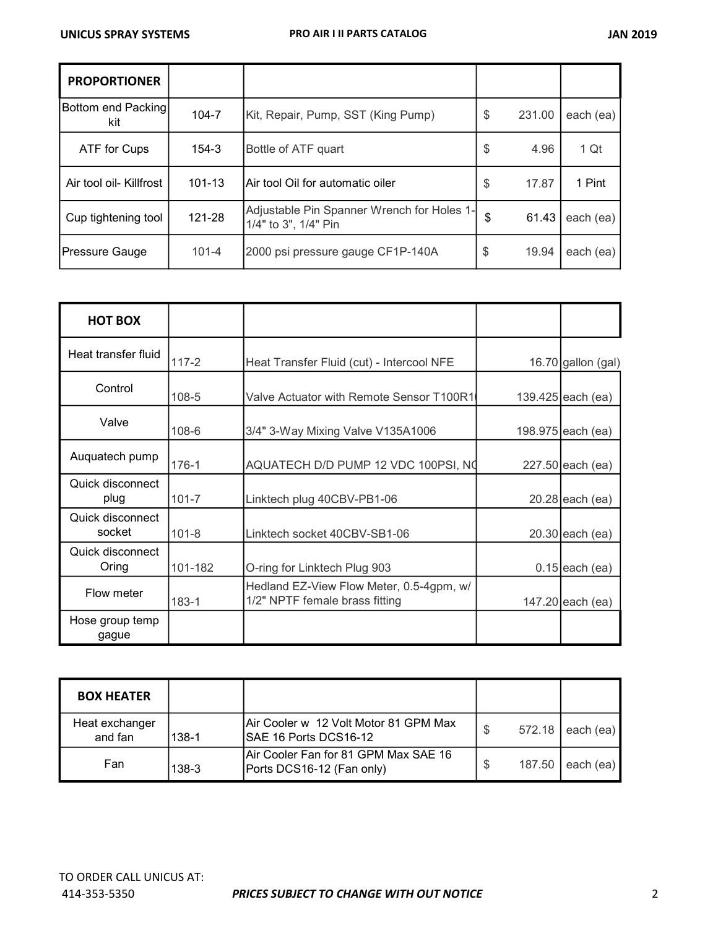| <b>PROPORTIONER</b>       |            |                                                                    |    |        |           |
|---------------------------|------------|--------------------------------------------------------------------|----|--------|-----------|
| Bottom end Packing<br>kit | 104-7      | Kit, Repair, Pump, SST (King Pump)                                 | \$ | 231.00 | each (ea) |
| ATF for Cups              | 154-3      | Bottle of ATF quart                                                | S  | 4.96   | 1 Qt      |
| Air tool oil- Killfrost   | $101 - 13$ | Air tool Oil for automatic oiler                                   | S  | 17.87  | 1 Pint    |
| Cup tightening tool       | 121-28     | Adjustable Pin Spanner Wrench for Holes 1-<br>1/4" to 3", 1/4" Pin | \$ | 61.43  | each (ea) |
| Pressure Gauge            | $101 - 4$  | 2000 psi pressure gauge CF1P-140A                                  | \$ | 19.94  | each (ea) |

| <b>HOT BOX</b>             |           |                                                                            |                      |
|----------------------------|-----------|----------------------------------------------------------------------------|----------------------|
| Heat transfer fluid        | $117 - 2$ | Heat Transfer Fluid (cut) - Intercool NFE                                  | 16.70 gallon $(gal)$ |
| Control                    | 108-5     | Valve Actuator with Remote Sensor T100R1                                   | 139.425 each (ea)    |
| Valve                      | $108 - 6$ | 3/4" 3-Way Mixing Valve V135A1006                                          | 198.975 each (ea)    |
| Auquatech pump             | $176 - 1$ | AQUATECH D/D PUMP 12 VDC 100PSI, NO                                        | 227.50 each (ea)     |
| Quick disconnect<br>plug   | $101 - 7$ | Linktech plug 40CBV-PB1-06                                                 | 20.28 each (ea)      |
| Quick disconnect<br>socket | $101 - 8$ | Linktech socket 40CBV-SB1-06                                               | $20.30$ each (ea)    |
| Quick disconnect<br>Oring  | 101-182   | O-ring for Linktech Plug 903                                               | $0.15$ each (ea)     |
| Flow meter                 | $183 - 1$ | Hedland EZ-View Flow Meter, 0.5-4gpm, w/<br>1/2" NPTF female brass fitting | 147.20 each (ea)     |
| Hose group temp<br>gague   |           |                                                                            |                      |

| <b>BOX HEATER</b>         |       |                                                                   |        |           |
|---------------------------|-------|-------------------------------------------------------------------|--------|-----------|
| Heat exchanger<br>and fan | 138-1 | IAir Cooler w  12 Volt Motor 81 GPM Max<br>ISAE 16 Ports DCS16-12 | 572.18 | each (ea) |
| Fan                       | 138-3 | Air Cooler Fan for 81 GPM Max SAE 16<br>Ports DCS16-12 (Fan only) | 187.50 | each (ea) |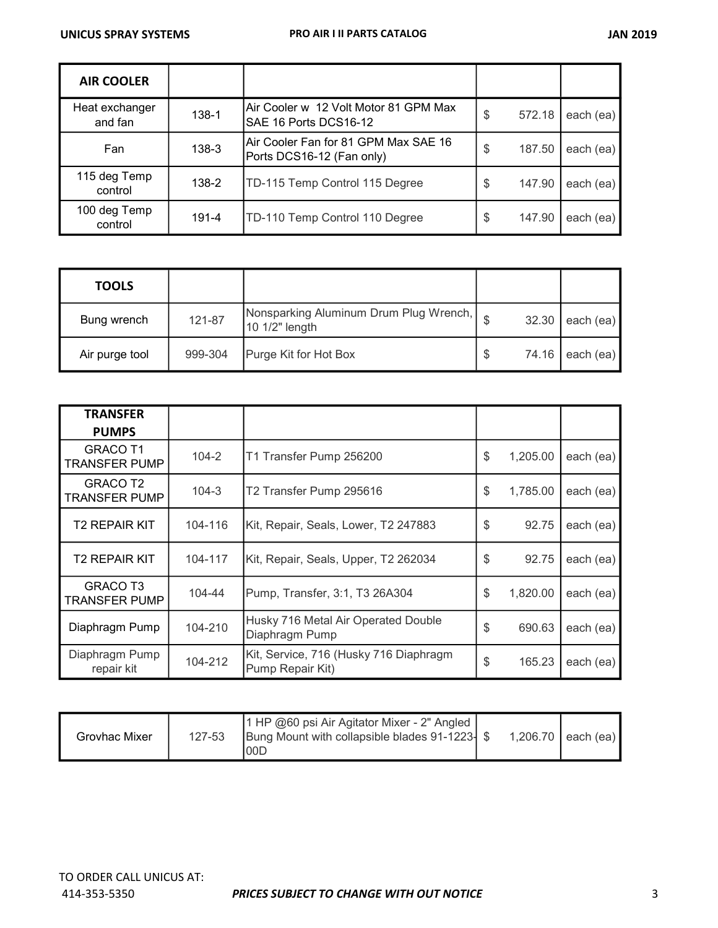| <b>AIR COOLER</b>         |       |                                                                   |    |        |           |
|---------------------------|-------|-------------------------------------------------------------------|----|--------|-----------|
| Heat exchanger<br>and fan | 138-1 | Air Cooler w 12 Volt Motor 81 GPM Max<br>SAE 16 Ports DCS16-12    | \$ | 572.18 | each (ea) |
| Fan                       | 138-3 | Air Cooler Fan for 81 GPM Max SAE 16<br>Ports DCS16-12 (Fan only) | \$ | 187.50 | each (ea) |
| 115 deg Temp<br>control   | 138-2 | TD-115 Temp Control 115 Degree                                    | \$ | 147.90 | each (ea) |
| 100 deg Temp<br>control   | 191-4 | TD-110 Temp Control 110 Degree                                    | S  | 147.90 | each (ea) |

| <b>TOOLS</b>   |         |                                                              |       |           |
|----------------|---------|--------------------------------------------------------------|-------|-----------|
| Bung wrench    | 121-87  | Nonsparking Aluminum Drum Plug Wrench,   e<br>10 1/2" length | 32.30 | each (ea) |
| Air purge tool | 999-304 | Purge Kit for Hot Box                                        | 74.16 | each (ea) |

| <b>TRANSFER</b>                         |           |                                                            |                |           |
|-----------------------------------------|-----------|------------------------------------------------------------|----------------|-----------|
| <b>PUMPS</b>                            |           |                                                            |                |           |
| <b>GRACO T1</b><br><b>TRANSFER PUMP</b> | $104 - 2$ | T1 Transfer Pump 256200                                    | \$<br>1,205.00 | each (ea) |
| GRACO T2<br><b>TRANSFER PUMP</b>        | $104 - 3$ | T2 Transfer Pump 295616                                    | \$<br>1,785.00 | each (ea) |
| <b>T2 REPAIR KIT</b>                    | 104-116   | Kit, Repair, Seals, Lower, T2 247883                       | \$<br>92.75    | each (ea) |
| <b>T2 REPAIR KIT</b>                    | 104-117   | Kit, Repair, Seals, Upper, T2 262034                       | \$<br>92.75    | each (ea) |
| <b>GRACO T3</b><br><b>TRANSFER PUMP</b> | 104-44    | Pump, Transfer, 3:1, T3 26A304                             | \$<br>1,820.00 | each (ea) |
| Diaphragm Pump                          | 104-210   | Husky 716 Metal Air Operated Double<br>Diaphragm Pump      | \$<br>690.63   | each (ea) |
| Diaphragm Pump<br>repair kit            | 104-212   | Kit, Service, 716 (Husky 716 Diaphragm<br>Pump Repair Kit) | \$<br>165.23   | each (ea) |

| Grovhac Mixer | 127-53 | 1 HP @60 psi Air Agitator Mixer - 2" Angled<br>Bung Mount with collapsible blades 91-1223- \$<br>00 <sub>0</sub> |  | 1,206.70 | leach (ea) |
|---------------|--------|------------------------------------------------------------------------------------------------------------------|--|----------|------------|
|---------------|--------|------------------------------------------------------------------------------------------------------------------|--|----------|------------|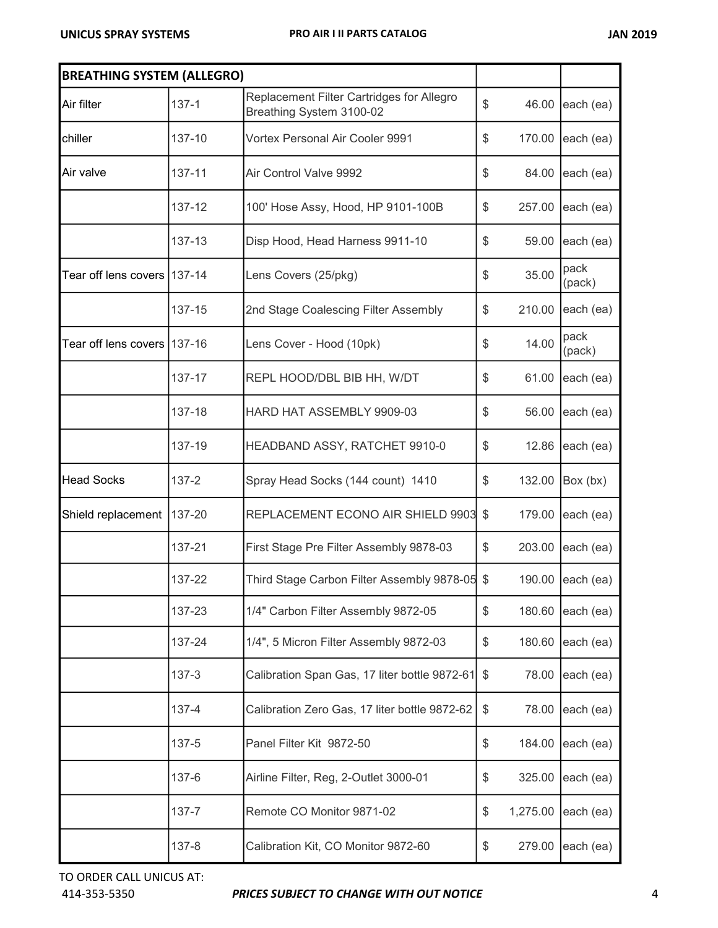| <b>BREATHING SYSTEM (ALLEGRO)</b> |            |                                                                       |                |                |
|-----------------------------------|------------|-----------------------------------------------------------------------|----------------|----------------|
| Air filter                        | $137 - 1$  | Replacement Filter Cartridges for Allegro<br>Breathing System 3100-02 | \$<br>46.00    | each (ea)      |
| chiller                           | 137-10     | Vortex Personal Air Cooler 9991                                       | \$<br>170.00   | each (ea)      |
| Air valve                         | 137-11     | Air Control Valve 9992                                                | \$<br>84.00    | each (ea)      |
|                                   | 137-12     | 100' Hose Assy, Hood, HP 9101-100B                                    | \$<br>257.00   | each (ea)      |
|                                   | 137-13     | Disp Hood, Head Harness 9911-10                                       | \$<br>59.00    | each (ea)      |
| Tear off lens covers              | $137 - 14$ | Lens Covers (25/pkg)                                                  | \$<br>35.00    | pack<br>(pack) |
|                                   | 137-15     | 2nd Stage Coalescing Filter Assembly                                  | \$<br>210.00   | each (ea)      |
| Tear off lens covers              | $137-16$   | Lens Cover - Hood (10pk)                                              | \$<br>14.00    | pack<br>(pack) |
|                                   | 137-17     | REPL HOOD/DBL BIB HH, W/DT                                            | \$<br>61.00    | each (ea)      |
|                                   | 137-18     | HARD HAT ASSEMBLY 9909-03                                             | \$<br>56.00    | each (ea)      |
|                                   | 137-19     | HEADBAND ASSY, RATCHET 9910-0                                         | \$<br>12.86    | each (ea)      |
| <b>Head Socks</b>                 | $137 - 2$  | Spray Head Socks (144 count) 1410                                     | \$<br>132.00   | Box (bx)       |
| Shield replacement                | 137-20     | REPLACEMENT ECONO AIR SHIELD 9903                                     | \$<br>179.00   | each (ea)      |
|                                   | 137-21     | First Stage Pre Filter Assembly 9878-03                               | \$<br>203.00   | each (ea)      |
|                                   | 137-22     | Third Stage Carbon Filter Assembly 9878-05 \$                         | 190.00         | each (ea)      |
|                                   | 137-23     | 1/4" Carbon Filter Assembly 9872-05                                   | \$<br>180.60   | each (ea)      |
|                                   | 137-24     | 1/4", 5 Micron Filter Assembly 9872-03                                | \$<br>180.60   | each (ea)      |
|                                   | $137 - 3$  | Calibration Span Gas, 17 liter bottle 9872-61                         | \$<br>78.00    | each (ea)      |
|                                   | 137-4      | Calibration Zero Gas, 17 liter bottle 9872-62                         | \$<br>78.00    | each (ea)      |
|                                   | 137-5      | Panel Filter Kit 9872-50                                              | \$<br>184.00   | each (ea)      |
|                                   | 137-6      | Airline Filter, Reg, 2-Outlet 3000-01                                 | \$<br>325.00   | each (ea)      |
|                                   | 137-7      | Remote CO Monitor 9871-02                                             | \$<br>1,275.00 | each (ea)      |
|                                   | 137-8      | Calibration Kit, CO Monitor 9872-60                                   | \$<br>279.00   | each (ea)      |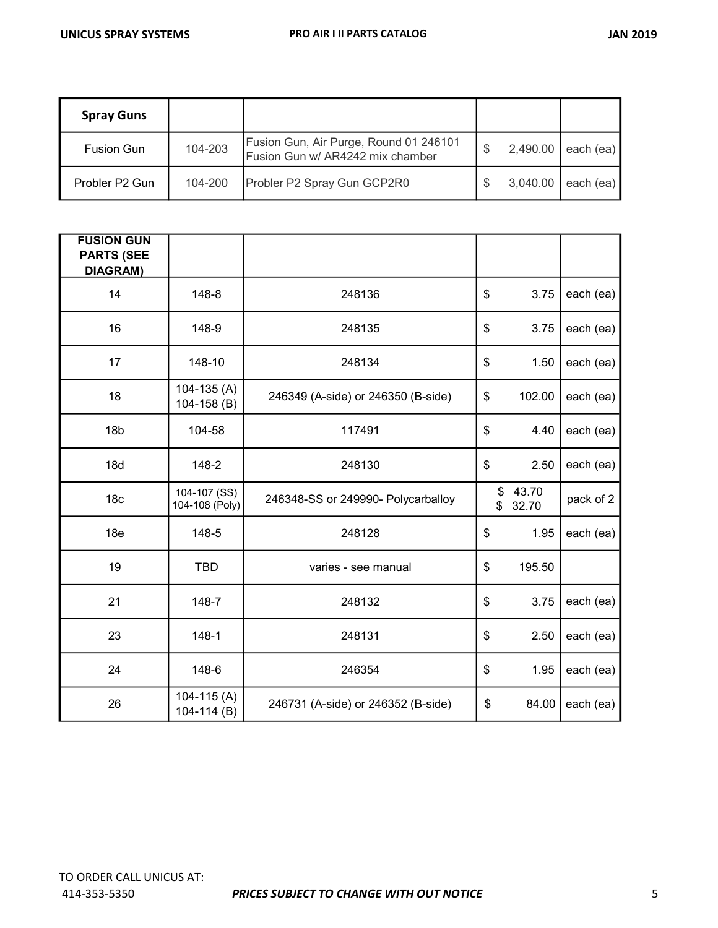| <b>Spray Guns</b> |         |                                                                            |          |           |
|-------------------|---------|----------------------------------------------------------------------------|----------|-----------|
| <b>Fusion Gun</b> | 104-203 | Fusion Gun, Air Purge, Round 01 246101<br>Fusion Gun w/ AR4242 mix chamber | 2,490.00 | each (ea) |
| Probler P2 Gun    | 104-200 | Probler P2 Spray Gun GCP2R0                                                | 3,040.00 | each (ea) |

| <b>FUSION GUN</b><br><b>PARTS (SEE</b> |                                  |                                    |          |                |           |
|----------------------------------------|----------------------------------|------------------------------------|----------|----------------|-----------|
| <b>DIAGRAM)</b>                        |                                  |                                    |          |                |           |
| 14                                     | 148-8                            | 248136                             | \$       | 3.75           | each (ea) |
| 16                                     | 148-9                            | 248135                             | \$       | 3.75           | each (ea) |
| 17                                     | 148-10                           | 248134                             | \$       | 1.50           | each (ea) |
| 18                                     | $104 - 135(A)$<br>$104 - 158(B)$ | 246349 (A-side) or 246350 (B-side) | \$       | 102.00         | each (ea) |
| 18 <sub>b</sub>                        | 104-58                           | 117491                             | \$       | 4.40           | each (ea) |
| 18d                                    | 148-2                            | 248130                             | \$       | 2.50           | each (ea) |
| 18 <sub>c</sub>                        | 104-107 (SS)<br>104-108 (Poly)   | 246348-SS or 249990- Polycarballoy | \$<br>\$ | 43.70<br>32.70 | pack of 2 |
| 18 <sub>e</sub>                        | 148-5                            | 248128                             | \$       | 1.95           | each (ea) |
| 19                                     | <b>TBD</b>                       | varies - see manual                | \$       | 195.50         |           |
| 21                                     | 148-7                            | 248132                             | \$       | 3.75           | each (ea) |
| 23                                     | $148 - 1$                        | 248131                             | \$       | 2.50           | each (ea) |
| 24                                     | 148-6                            | 246354                             | \$       | 1.95           | each (ea) |
| 26                                     | $104 - 115(A)$<br>104-114 (B)    | 246731 (A-side) or 246352 (B-side) | \$       | 84.00          | each (ea) |